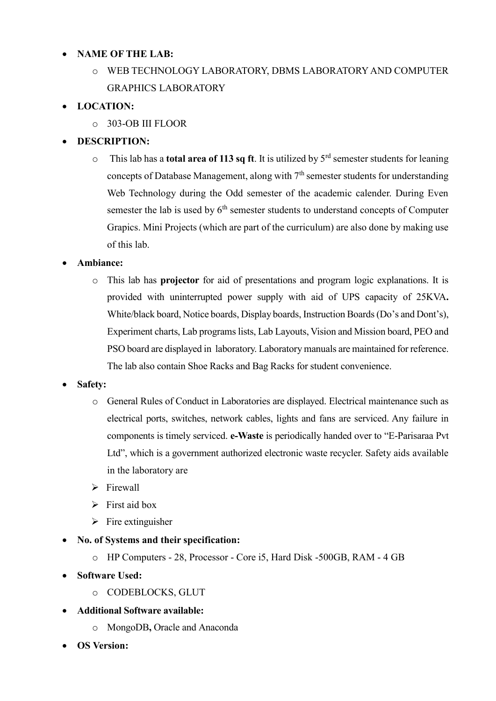### **NAME OF THE LAB:**

o WEB TECHNOLOGY LABORATORY, DBMS LABORATORY AND COMPUTER GRAPHICS LABORATORY

# **LOCATION:**

o 303-OB III FLOOR

# **DESCRIPTION:**

o This lab has a **total area of 113 sq ft**. It is utilized by 5rd semester students for leaning concepts of Database Management, along with  $7<sup>th</sup>$  semester students for understanding Web Technology during the Odd semester of the academic calender. During Even semester the lab is used by  $6<sup>th</sup>$  semester students to understand concepts of Computer Grapics. Mini Projects (which are part of the curriculum) are also done by making use of this lab.

### **Ambiance:**

o This lab has **projector** for aid of presentations and program logic explanations. It is provided with uninterrupted power supply with aid of UPS capacity of 25KVA**.**  White/black board, Notice boards, Display boards, Instruction Boards (Do's and Dont's), Experiment charts, Lab programs lists, Lab Layouts, Vision and Mission board, PEO and PSO board are displayed in laboratory. Laboratory manuals are maintained for reference. The lab also contain Shoe Racks and Bag Racks for student convenience.

### **Safety:**

- o General Rules of Conduct in Laboratories are displayed. Electrical maintenance such as electrical ports, switches, network cables, lights and fans are serviced. Any failure in components is timely serviced. **e-Waste** is periodically handed over to "E-Parisaraa Pvt Ltd", which is a government authorized electronic waste recycler. Safety aids available in the laboratory are
- $\triangleright$  Firewall
- $\triangleright$  First aid box
- $\triangleright$  Fire extinguisher
- **No. of Systems and their specification:** 
	- o HP Computers 28, Processor Core i5, Hard Disk -500GB, RAM 4 GB
- **Software Used:** 
	- o CODEBLOCKS, GLUT
- **Additional Software available:** 
	- o MongoDB**,** Oracle and Anaconda
- **OS Version:**